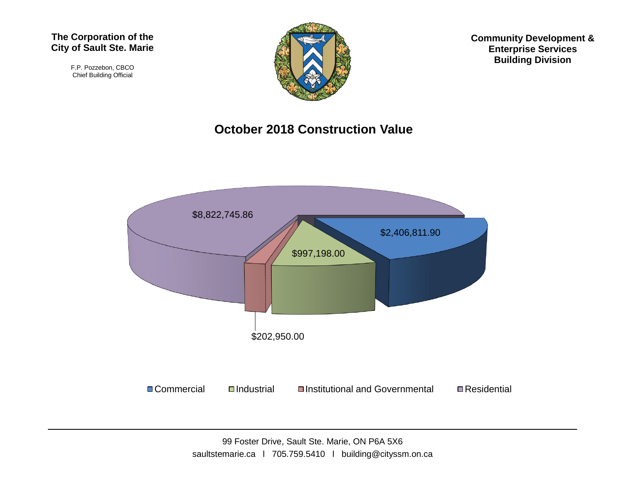#### **The Corporation of the City of Sault Ste. Marie**

F.P. Pozzebon, CBCO Chief Building Official



**Community Development & Enterprise Services Building Division**

### **October 2018 Construction Value**

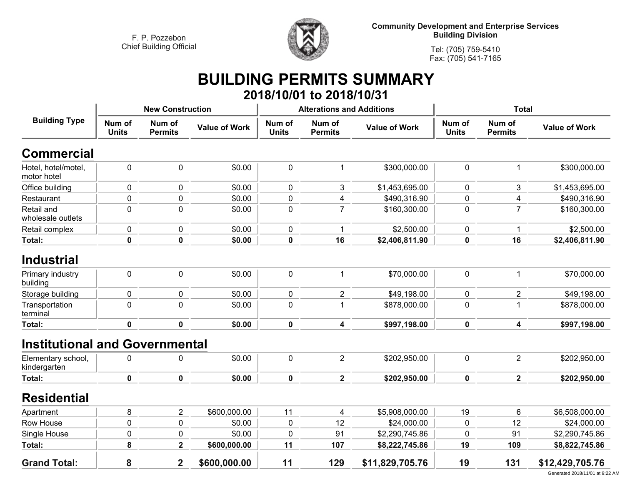

**Community Development and Enterprise Services Building Division**

**Tel: (705) 759-5410Fax: (705) 541-7165**

## **BUILDING PERMITS SUMMARY 2018/10/01 to 2018/10/31**

| <b>Building Type</b>                  | <b>New Construction</b> |                          |                      |                        | <b>Alterations and Additions</b> |                      | <b>Total</b>           |                          |                      |
|---------------------------------------|-------------------------|--------------------------|----------------------|------------------------|----------------------------------|----------------------|------------------------|--------------------------|----------------------|
|                                       | Num of<br><b>Units</b>  | Num of<br><b>Permits</b> | <b>Value of Work</b> | Num of<br><b>Units</b> | Num of<br><b>Permits</b>         | <b>Value of Work</b> | Num of<br><b>Units</b> | Num of<br><b>Permits</b> | <b>Value of Work</b> |
| <b>Commercial</b>                     |                         |                          |                      |                        |                                  |                      |                        |                          |                      |
| Hotel, hotel/motel,<br>motor hotel    | $\mathbf 0$             | 0                        | \$0.00               | 0                      | 1                                | \$300,000.00         | $\mathbf 0$            | 1                        | \$300,000.00         |
| Office building                       | $\mathbf 0$             | 0                        | \$0.00               | 0                      | 3                                | \$1,453,695.00       | 0                      | 3                        | \$1,453,695.00       |
| Restaurant                            | $\mathbf 0$             | $\pmb{0}$                | \$0.00               | $\pmb{0}$              | 4                                | \$490,316.90         | $\mathbf 0$            | 4                        | \$490,316.90         |
| Retail and<br>wholesale outlets       | $\mathbf 0$             | $\mathbf 0$              | \$0.00               | 0                      | $\overline{7}$                   | \$160,300.00         | $\mathbf 0$            | $\overline{7}$           | \$160,300.00         |
| Retail complex                        | $\mathbf 0$             | 0                        | \$0.00               | 0                      |                                  | \$2,500.00           | $\mathbf 0$            | 1                        | \$2,500.00           |
| Total:                                | $\mathbf 0$             | $\pmb{0}$                | \$0.00               | $\pmb{0}$              | 16                               | \$2,406,811.90       | 0                      | 16                       | \$2,406,811.90       |
| <b>Industrial</b>                     |                         |                          |                      |                        |                                  |                      |                        |                          |                      |
| Primary industry<br>building          | $\mathbf 0$             | 0                        | \$0.00               | 0                      | 1                                | \$70,000.00          | $\mathbf 0$            | 1                        | \$70,000.00          |
| Storage building                      | 0                       | 0                        | \$0.00               | 0                      | $\overline{c}$                   | \$49,198.00          | $\pmb{0}$              | $\overline{2}$           | \$49,198.00          |
| Transportation<br>terminal            | $\mathbf 0$             | $\mathbf 0$              | \$0.00               | $\pmb{0}$              | 1                                | \$878,000.00         | $\overline{0}$         |                          | \$878,000.00         |
| Total:                                | $\mathbf 0$             | $\mathbf 0$              | \$0.00               | $\mathbf 0$            | $\overline{\mathbf{4}}$          | \$997,198.00         | 0                      | 4                        | \$997,198.00         |
| <b>Institutional and Governmental</b> |                         |                          |                      |                        |                                  |                      |                        |                          |                      |
| Elementary school,<br>kindergarten    | $\pmb{0}$               | 0                        | \$0.00               | 0                      | $\overline{2}$                   | \$202,950.00         | $\pmb{0}$              | $\overline{2}$           | \$202,950.00         |
| Total:                                | $\mathbf 0$             | $\mathbf 0$              | \$0.00               | $\mathbf 0$            | $\overline{\mathbf{2}}$          | \$202,950.00         | 0                      | $\overline{2}$           | \$202,950.00         |
| <b>Residential</b>                    |                         |                          |                      |                        |                                  |                      |                        |                          |                      |
| Apartment                             | 8                       | $\overline{2}$           | \$600,000.00         | 11                     | $\overline{\mathbf{4}}$          | \$5,908,000.00       | 19                     | 6                        | \$6,508,000.00       |
| Row House                             | $\mathbf 0$             | $\pmb{0}$                | \$0.00               | $\pmb{0}$              | 12                               | \$24,000.00          | $\mathbf 0$            | 12                       | \$24,000.00          |
| Single House                          | $\pmb{0}$               | 0                        | \$0.00               | $\pmb{0}$              | 91                               | \$2,290,745.86       | $\mathbf{0}$           | 91                       | \$2,290,745.86       |
| Total:                                | 8                       | $\overline{2}$           | \$600,000.00         | 11                     | 107                              | \$8,222,745.86       | 19                     | 109                      | \$8,822,745.86       |
| <b>Grand Total:</b>                   | 8                       | $\overline{2}$           | \$600,000.00         | 11                     | 129                              | \$11,829,705.76      | 19                     | 131                      | \$12,429,705.76      |

Generated 2018/11/01 at 9:22 AM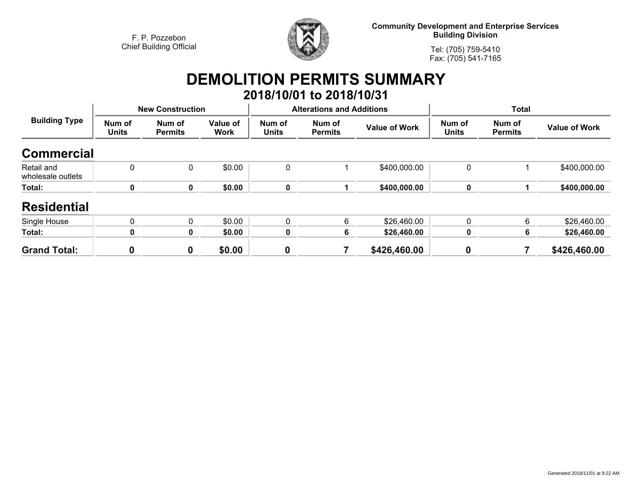

**Community Development and Enterprise Services Building Division**

**Tel: (705) 759-5410Fax: (705) 541-7165**

# **DEMOLITION PERMITS SUMMARY 2018/10/01 to 2018/10/31**

| <b>Building Type</b>            | <b>New Construction</b> |                          |                         |                        | <b>Alterations and Additions</b> |                      | <b>Total</b>           |                          |                      |
|---------------------------------|-------------------------|--------------------------|-------------------------|------------------------|----------------------------------|----------------------|------------------------|--------------------------|----------------------|
|                                 | Num of<br><b>Units</b>  | Num of<br><b>Permits</b> | Value of<br><b>Work</b> | Num of<br><b>Units</b> | Num of<br><b>Permits</b>         | <b>Value of Work</b> | Num of<br><b>Units</b> | Num of<br><b>Permits</b> | <b>Value of Work</b> |
| <b>Commercial</b>               |                         |                          |                         |                        |                                  |                      |                        |                          |                      |
| Retail and<br>wholesale outlets | 0                       | 0                        | \$0.00                  | $\mathbf 0$            |                                  | \$400,000.00         | 0                      |                          | \$400,000.00         |
| Total:                          | 0                       | 0                        | \$0.00                  | $\mathbf 0$            |                                  | \$400,000.00         | 0                      |                          | \$400,000.00         |
| <b>Residential</b>              |                         |                          |                         |                        |                                  |                      |                        |                          |                      |
| Single House                    | 0                       | 0                        | \$0.00                  | $\mathbf{0}$           | 6                                | \$26,460.00          | $\mathbf 0$            | 6                        | \$26,460.00          |
| Total:                          | Λ                       | 0                        | \$0.00                  | 0                      | 6                                | \$26,460.00          | 0                      | 6                        | \$26,460.00          |
| <b>Grand Total:</b>             | 0                       | 0                        | \$0.00                  | $\boldsymbol{0}$       |                                  | \$426,460.00         | 0                      |                          | \$426,460.00         |